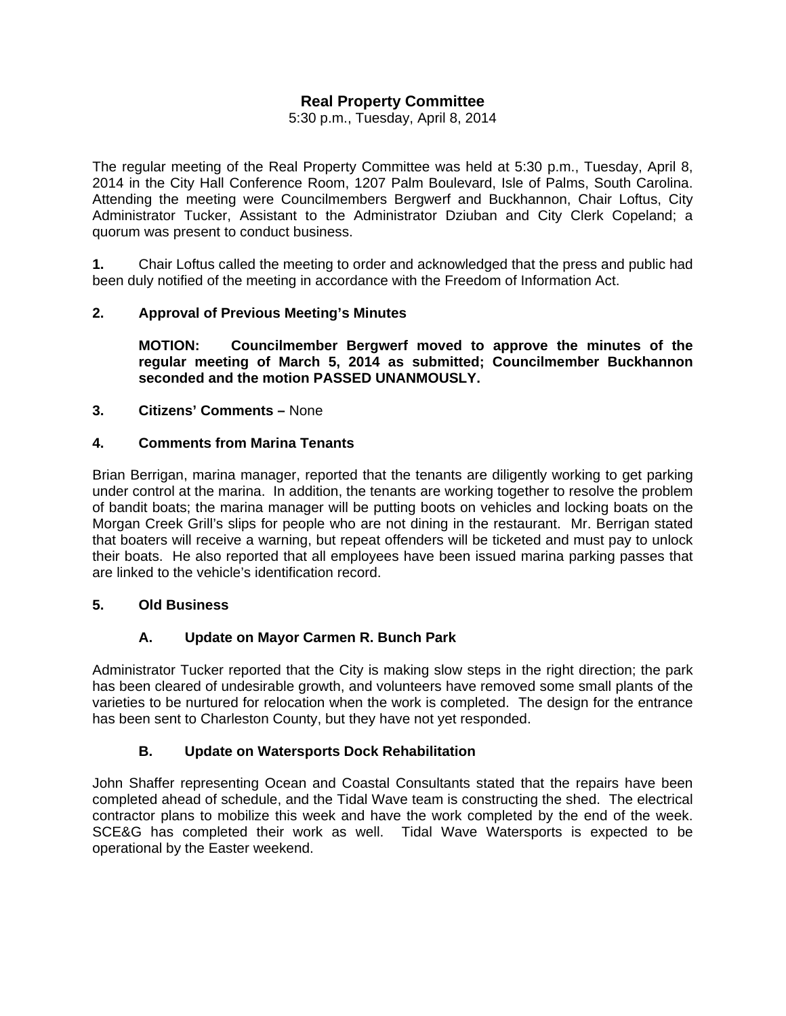# **Real Property Committee**

5:30 p.m., Tuesday, April 8, 2014

The regular meeting of the Real Property Committee was held at 5:30 p.m., Tuesday, April 8, 2014 in the City Hall Conference Room, 1207 Palm Boulevard, Isle of Palms, South Carolina. Attending the meeting were Councilmembers Bergwerf and Buckhannon, Chair Loftus, City Administrator Tucker, Assistant to the Administrator Dziuban and City Clerk Copeland; a quorum was present to conduct business.

**1.** Chair Loftus called the meeting to order and acknowledged that the press and public had been duly notified of the meeting in accordance with the Freedom of Information Act.

## **2. Approval of Previous Meeting's Minutes**

 **MOTION: Councilmember Bergwerf moved to approve the minutes of the regular meeting of March 5, 2014 as submitted; Councilmember Buckhannon seconded and the motion PASSED UNANMOUSLY.** 

### **3. Citizens' Comments –** None

#### **4. Comments from Marina Tenants**

Brian Berrigan, marina manager, reported that the tenants are diligently working to get parking under control at the marina. In addition, the tenants are working together to resolve the problem of bandit boats; the marina manager will be putting boots on vehicles and locking boats on the Morgan Creek Grill's slips for people who are not dining in the restaurant. Mr. Berrigan stated that boaters will receive a warning, but repeat offenders will be ticketed and must pay to unlock their boats. He also reported that all employees have been issued marina parking passes that are linked to the vehicle's identification record.

#### **5. Old Business**

### **A. Update on Mayor Carmen R. Bunch Park**

Administrator Tucker reported that the City is making slow steps in the right direction; the park has been cleared of undesirable growth, and volunteers have removed some small plants of the varieties to be nurtured for relocation when the work is completed. The design for the entrance has been sent to Charleston County, but they have not yet responded.

### **B. Update on Watersports Dock Rehabilitation**

John Shaffer representing Ocean and Coastal Consultants stated that the repairs have been completed ahead of schedule, and the Tidal Wave team is constructing the shed. The electrical contractor plans to mobilize this week and have the work completed by the end of the week. SCE&G has completed their work as well. Tidal Wave Watersports is expected to be operational by the Easter weekend.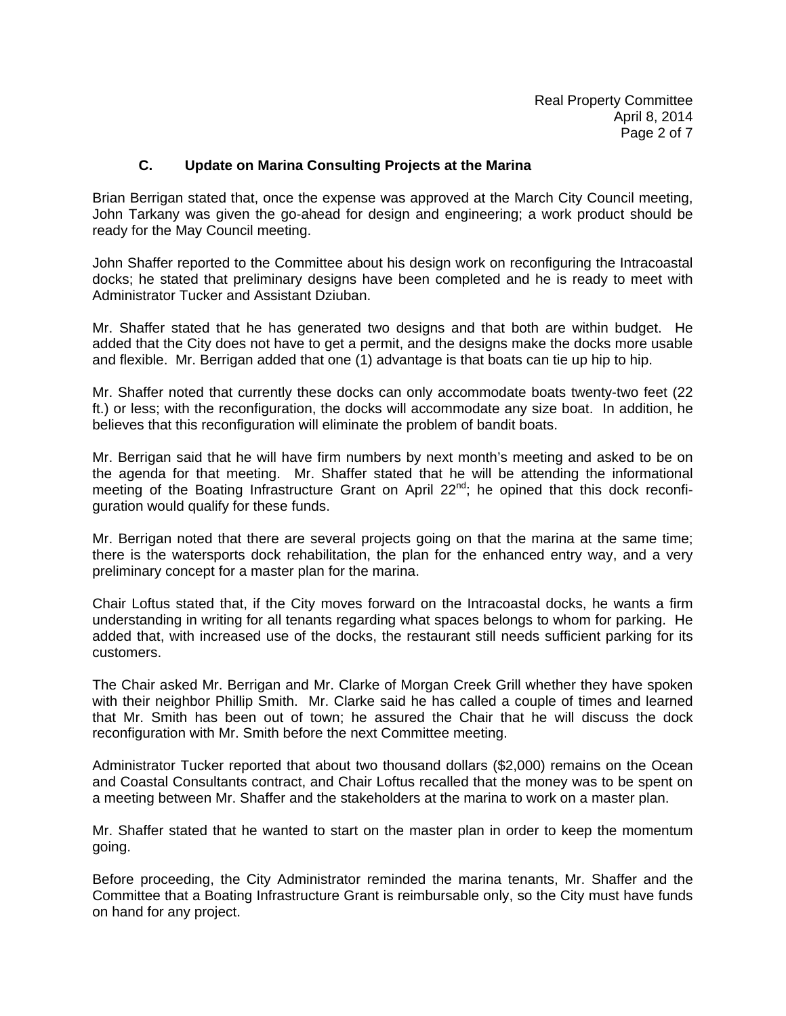### **C. Update on Marina Consulting Projects at the Marina**

Brian Berrigan stated that, once the expense was approved at the March City Council meeting, John Tarkany was given the go-ahead for design and engineering; a work product should be ready for the May Council meeting.

John Shaffer reported to the Committee about his design work on reconfiguring the Intracoastal docks; he stated that preliminary designs have been completed and he is ready to meet with Administrator Tucker and Assistant Dziuban.

Mr. Shaffer stated that he has generated two designs and that both are within budget. He added that the City does not have to get a permit, and the designs make the docks more usable and flexible. Mr. Berrigan added that one (1) advantage is that boats can tie up hip to hip.

Mr. Shaffer noted that currently these docks can only accommodate boats twenty-two feet (22 ft.) or less; with the reconfiguration, the docks will accommodate any size boat. In addition, he believes that this reconfiguration will eliminate the problem of bandit boats.

Mr. Berrigan said that he will have firm numbers by next month's meeting and asked to be on the agenda for that meeting. Mr. Shaffer stated that he will be attending the informational meeting of the Boating Infrastructure Grant on April 22<sup>nd</sup>; he opined that this dock reconfiguration would qualify for these funds.

Mr. Berrigan noted that there are several projects going on that the marina at the same time; there is the watersports dock rehabilitation, the plan for the enhanced entry way, and a very preliminary concept for a master plan for the marina.

Chair Loftus stated that, if the City moves forward on the Intracoastal docks, he wants a firm understanding in writing for all tenants regarding what spaces belongs to whom for parking. He added that, with increased use of the docks, the restaurant still needs sufficient parking for its customers.

The Chair asked Mr. Berrigan and Mr. Clarke of Morgan Creek Grill whether they have spoken with their neighbor Phillip Smith. Mr. Clarke said he has called a couple of times and learned that Mr. Smith has been out of town; he assured the Chair that he will discuss the dock reconfiguration with Mr. Smith before the next Committee meeting.

Administrator Tucker reported that about two thousand dollars (\$2,000) remains on the Ocean and Coastal Consultants contract, and Chair Loftus recalled that the money was to be spent on a meeting between Mr. Shaffer and the stakeholders at the marina to work on a master plan.

Mr. Shaffer stated that he wanted to start on the master plan in order to keep the momentum going.

Before proceeding, the City Administrator reminded the marina tenants, Mr. Shaffer and the Committee that a Boating Infrastructure Grant is reimbursable only, so the City must have funds on hand for any project.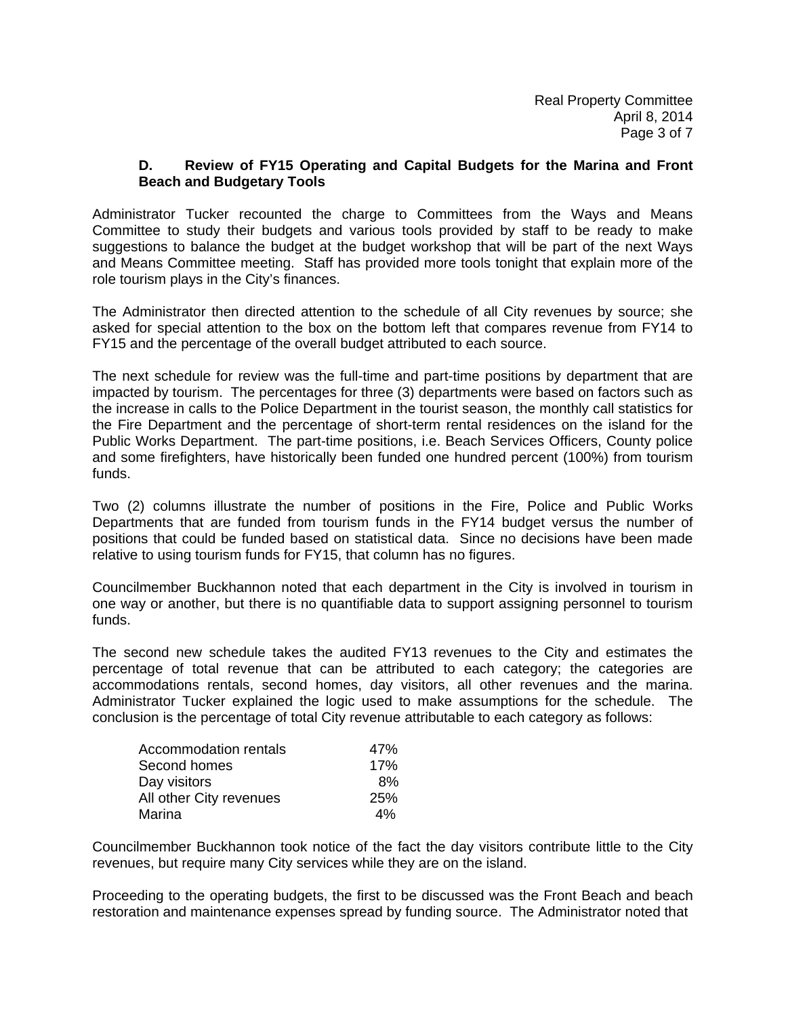### **D. Review of FY15 Operating and Capital Budgets for the Marina and Front Beach and Budgetary Tools**

Administrator Tucker recounted the charge to Committees from the Ways and Means Committee to study their budgets and various tools provided by staff to be ready to make suggestions to balance the budget at the budget workshop that will be part of the next Ways and Means Committee meeting. Staff has provided more tools tonight that explain more of the role tourism plays in the City's finances.

The Administrator then directed attention to the schedule of all City revenues by source; she asked for special attention to the box on the bottom left that compares revenue from FY14 to FY15 and the percentage of the overall budget attributed to each source.

The next schedule for review was the full-time and part-time positions by department that are impacted by tourism. The percentages for three (3) departments were based on factors such as the increase in calls to the Police Department in the tourist season, the monthly call statistics for the Fire Department and the percentage of short-term rental residences on the island for the Public Works Department. The part-time positions, i.e. Beach Services Officers, County police and some firefighters, have historically been funded one hundred percent (100%) from tourism funds.

Two (2) columns illustrate the number of positions in the Fire, Police and Public Works Departments that are funded from tourism funds in the FY14 budget versus the number of positions that could be funded based on statistical data. Since no decisions have been made relative to using tourism funds for FY15, that column has no figures.

Councilmember Buckhannon noted that each department in the City is involved in tourism in one way or another, but there is no quantifiable data to support assigning personnel to tourism funds.

The second new schedule takes the audited FY13 revenues to the City and estimates the percentage of total revenue that can be attributed to each category; the categories are accommodations rentals, second homes, day visitors, all other revenues and the marina. Administrator Tucker explained the logic used to make assumptions for the schedule. The conclusion is the percentage of total City revenue attributable to each category as follows:

| Accommodation rentals   | 47%        |
|-------------------------|------------|
| Second homes            | 17%        |
| Day visitors            | 8%         |
| All other City revenues | <b>25%</b> |
| Marina                  | 4%         |

Councilmember Buckhannon took notice of the fact the day visitors contribute little to the City revenues, but require many City services while they are on the island.

Proceeding to the operating budgets, the first to be discussed was the Front Beach and beach restoration and maintenance expenses spread by funding source. The Administrator noted that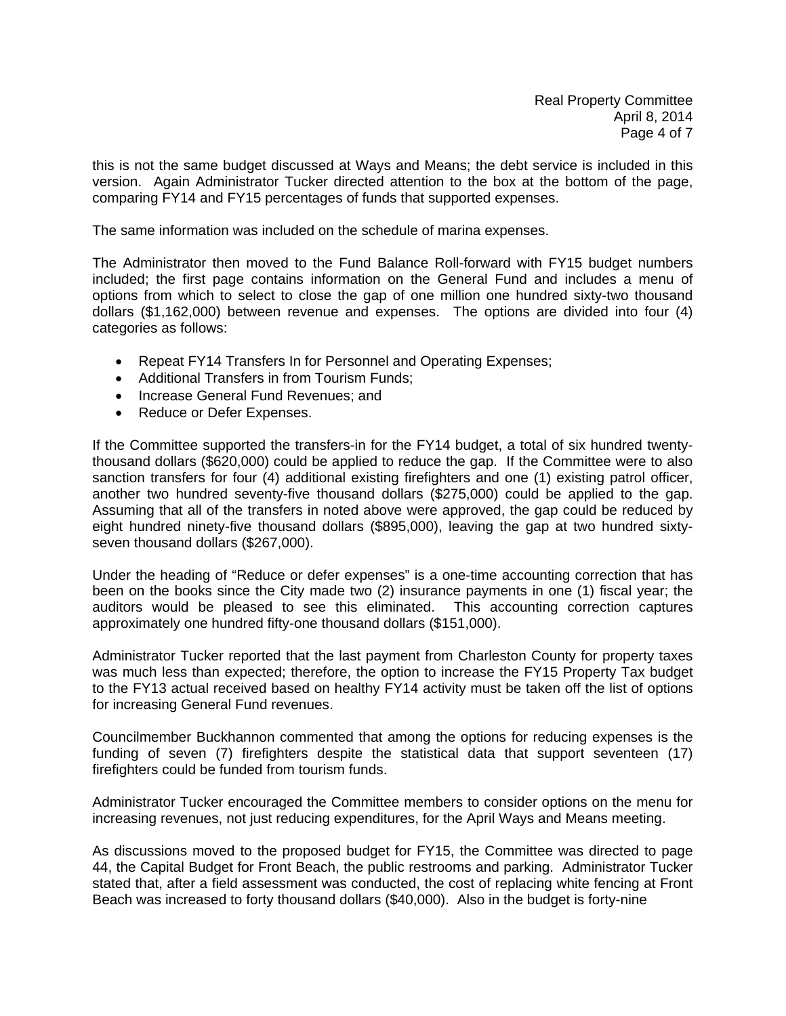this is not the same budget discussed at Ways and Means; the debt service is included in this version. Again Administrator Tucker directed attention to the box at the bottom of the page, comparing FY14 and FY15 percentages of funds that supported expenses.

The same information was included on the schedule of marina expenses.

The Administrator then moved to the Fund Balance Roll-forward with FY15 budget numbers included; the first page contains information on the General Fund and includes a menu of options from which to select to close the gap of one million one hundred sixty-two thousand dollars (\$1,162,000) between revenue and expenses. The options are divided into four (4) categories as follows:

- Repeat FY14 Transfers In for Personnel and Operating Expenses;
- Additional Transfers in from Tourism Funds;
- Increase General Fund Revenues; and
- Reduce or Defer Expenses.

If the Committee supported the transfers-in for the FY14 budget, a total of six hundred twentythousand dollars (\$620,000) could be applied to reduce the gap. If the Committee were to also sanction transfers for four (4) additional existing firefighters and one (1) existing patrol officer, another two hundred seventy-five thousand dollars (\$275,000) could be applied to the gap. Assuming that all of the transfers in noted above were approved, the gap could be reduced by eight hundred ninety-five thousand dollars (\$895,000), leaving the gap at two hundred sixtyseven thousand dollars (\$267,000).

Under the heading of "Reduce or defer expenses" is a one-time accounting correction that has been on the books since the City made two (2) insurance payments in one (1) fiscal year; the auditors would be pleased to see this eliminated. This accounting correction captures approximately one hundred fifty-one thousand dollars (\$151,000).

Administrator Tucker reported that the last payment from Charleston County for property taxes was much less than expected; therefore, the option to increase the FY15 Property Tax budget to the FY13 actual received based on healthy FY14 activity must be taken off the list of options for increasing General Fund revenues.

Councilmember Buckhannon commented that among the options for reducing expenses is the funding of seven (7) firefighters despite the statistical data that support seventeen (17) firefighters could be funded from tourism funds.

Administrator Tucker encouraged the Committee members to consider options on the menu for increasing revenues, not just reducing expenditures, for the April Ways and Means meeting.

As discussions moved to the proposed budget for FY15, the Committee was directed to page 44, the Capital Budget for Front Beach, the public restrooms and parking. Administrator Tucker stated that, after a field assessment was conducted, the cost of replacing white fencing at Front Beach was increased to forty thousand dollars (\$40,000). Also in the budget is forty-nine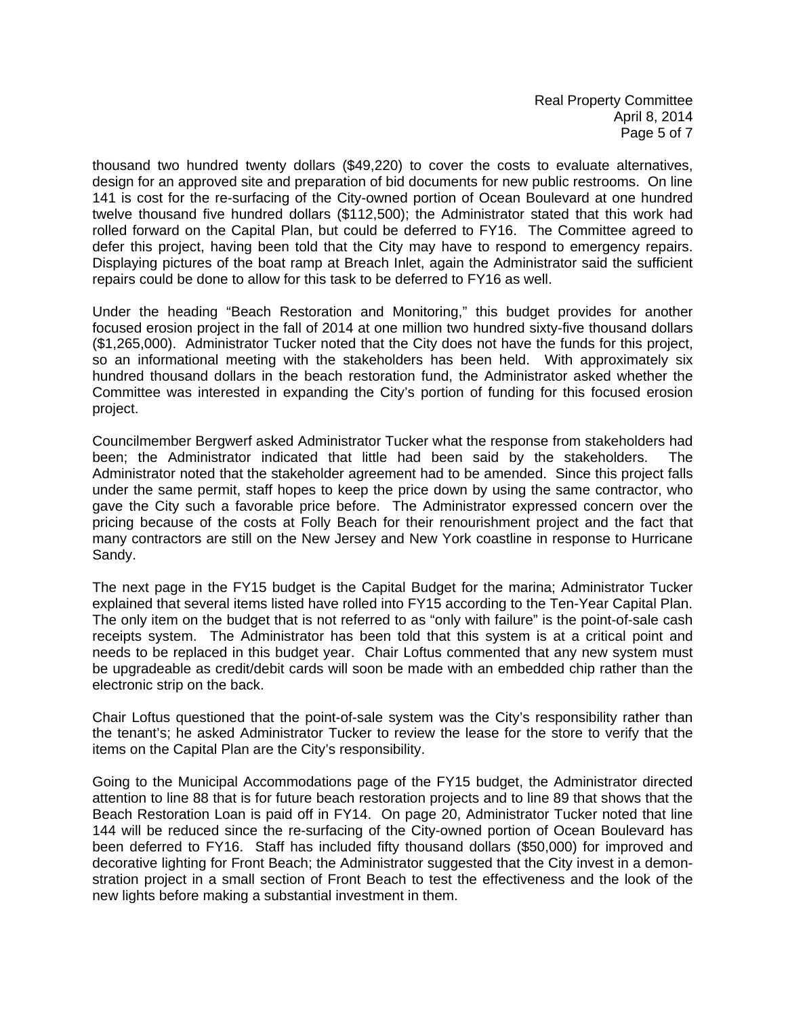thousand two hundred twenty dollars (\$49,220) to cover the costs to evaluate alternatives, design for an approved site and preparation of bid documents for new public restrooms. On line 141 is cost for the re-surfacing of the City-owned portion of Ocean Boulevard at one hundred twelve thousand five hundred dollars (\$112,500); the Administrator stated that this work had rolled forward on the Capital Plan, but could be deferred to FY16. The Committee agreed to defer this project, having been told that the City may have to respond to emergency repairs. Displaying pictures of the boat ramp at Breach Inlet, again the Administrator said the sufficient repairs could be done to allow for this task to be deferred to FY16 as well.

Under the heading "Beach Restoration and Monitoring," this budget provides for another focused erosion project in the fall of 2014 at one million two hundred sixty-five thousand dollars (\$1,265,000). Administrator Tucker noted that the City does not have the funds for this project, so an informational meeting with the stakeholders has been held. With approximately six hundred thousand dollars in the beach restoration fund, the Administrator asked whether the Committee was interested in expanding the City's portion of funding for this focused erosion project.

Councilmember Bergwerf asked Administrator Tucker what the response from stakeholders had been; the Administrator indicated that little had been said by the stakeholders. The Administrator noted that the stakeholder agreement had to be amended. Since this project falls under the same permit, staff hopes to keep the price down by using the same contractor, who gave the City such a favorable price before. The Administrator expressed concern over the pricing because of the costs at Folly Beach for their renourishment project and the fact that many contractors are still on the New Jersey and New York coastline in response to Hurricane Sandy.

The next page in the FY15 budget is the Capital Budget for the marina; Administrator Tucker explained that several items listed have rolled into FY15 according to the Ten-Year Capital Plan. The only item on the budget that is not referred to as "only with failure" is the point-of-sale cash receipts system. The Administrator has been told that this system is at a critical point and needs to be replaced in this budget year. Chair Loftus commented that any new system must be upgradeable as credit/debit cards will soon be made with an embedded chip rather than the electronic strip on the back.

Chair Loftus questioned that the point-of-sale system was the City's responsibility rather than the tenant's; he asked Administrator Tucker to review the lease for the store to verify that the items on the Capital Plan are the City's responsibility.

Going to the Municipal Accommodations page of the FY15 budget, the Administrator directed attention to line 88 that is for future beach restoration projects and to line 89 that shows that the Beach Restoration Loan is paid off in FY14. On page 20, Administrator Tucker noted that line 144 will be reduced since the re-surfacing of the City-owned portion of Ocean Boulevard has been deferred to FY16. Staff has included fifty thousand dollars (\$50,000) for improved and decorative lighting for Front Beach; the Administrator suggested that the City invest in a demonstration project in a small section of Front Beach to test the effectiveness and the look of the new lights before making a substantial investment in them.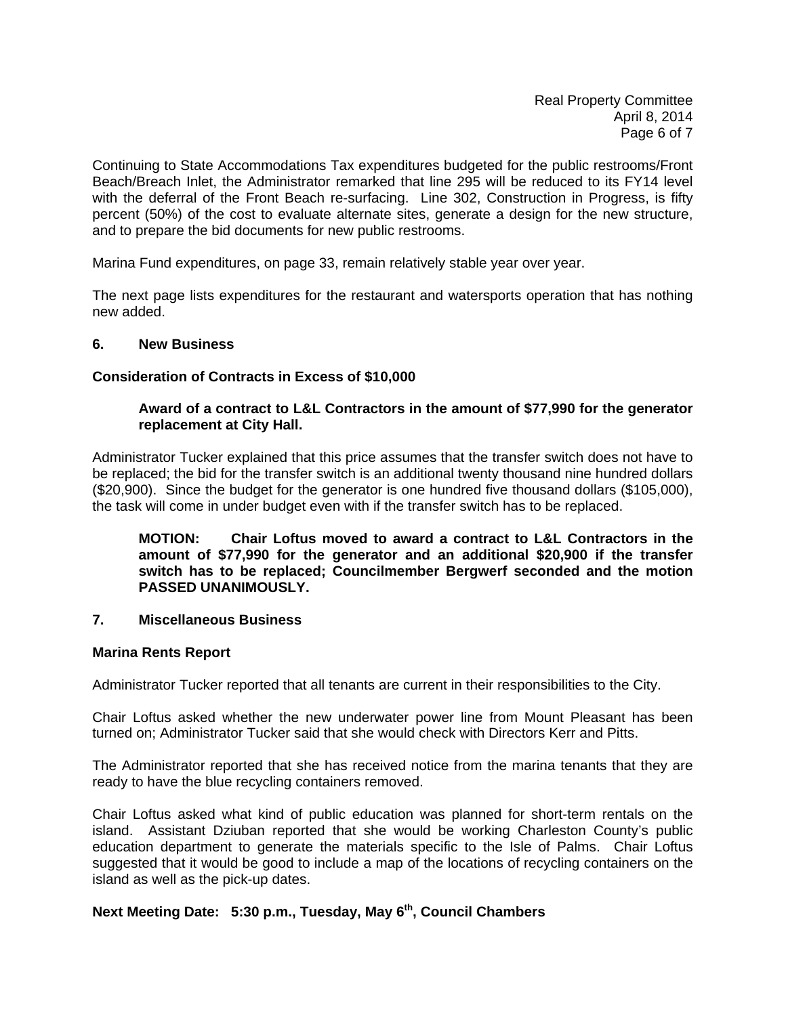Continuing to State Accommodations Tax expenditures budgeted for the public restrooms/Front Beach/Breach Inlet, the Administrator remarked that line 295 will be reduced to its FY14 level with the deferral of the Front Beach re-surfacing. Line 302, Construction in Progress, is fifty percent (50%) of the cost to evaluate alternate sites, generate a design for the new structure, and to prepare the bid documents for new public restrooms.

Marina Fund expenditures, on page 33, remain relatively stable year over year.

The next page lists expenditures for the restaurant and watersports operation that has nothing new added.

#### **6. New Business**

#### **Consideration of Contracts in Excess of \$10,000**

#### **Award of a contract to L&L Contractors in the amount of \$77,990 for the generator replacement at City Hall.**

Administrator Tucker explained that this price assumes that the transfer switch does not have to be replaced; the bid for the transfer switch is an additional twenty thousand nine hundred dollars (\$20,900). Since the budget for the generator is one hundred five thousand dollars (\$105,000), the task will come in under budget even with if the transfer switch has to be replaced.

**MOTION: Chair Loftus moved to award a contract to L&L Contractors in the amount of \$77,990 for the generator and an additional \$20,900 if the transfer switch has to be replaced; Councilmember Bergwerf seconded and the motion PASSED UNANIMOUSLY.** 

#### **7. Miscellaneous Business**

#### **Marina Rents Report**

Administrator Tucker reported that all tenants are current in their responsibilities to the City.

Chair Loftus asked whether the new underwater power line from Mount Pleasant has been turned on; Administrator Tucker said that she would check with Directors Kerr and Pitts.

The Administrator reported that she has received notice from the marina tenants that they are ready to have the blue recycling containers removed.

Chair Loftus asked what kind of public education was planned for short-term rentals on the island. Assistant Dziuban reported that she would be working Charleston County's public education department to generate the materials specific to the Isle of Palms. Chair Loftus suggested that it would be good to include a map of the locations of recycling containers on the island as well as the pick-up dates.

# **Next Meeting Date: 5:30 p.m., Tuesday, May 6th, Council Chambers**